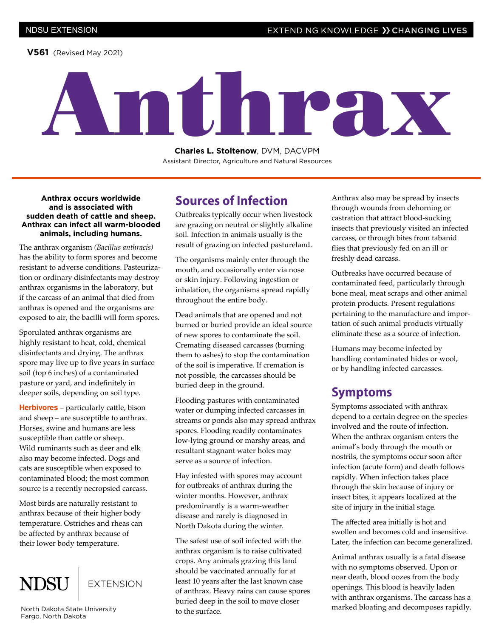**V561** (Revised May 2021)

# Anthrax

**Charles L. Stoltenow**, DVM, DACVPM Assistant Director, Agriculture and Natural Resources

**Anthrax occurs worldwide and is associated with sudden death of cattle and sheep. Anthrax can infect all warm-blooded animals, including humans.** 

The anthrax organism *(Bacillus anthracis)* has the ability to form spores and become resistant to adverse conditions. Pasteurization or ordinary disinfectants may destroy anthrax organisms in the laboratory, but if the carcass of an animal that died from anthrax is opened and the organisms are exposed to air, the bacilli will form spores.

Sporulated anthrax organisms are highly resistant to heat, cold, chemical disinfectants and drying. The anthrax spore may live up to five years in surface soil (top 6 inches) of a contaminated pasture or yard, and indefinitely in deeper soils, depending on soil type.

**Herbivores** – particularly cattle, bison and sheep – are susceptible to anthrax. Horses, swine and humans are less susceptible than cattle or sheep. Wild ruminants such as deer and elk also may become infected. Dogs and cats are susceptible when exposed to contaminated blood; the most common source is a recently necropsied carcass.

Most birds are naturally resistant to anthrax because of their higher body temperature. Ostriches and rheas can be affected by anthrax because of their lower body temperature.

## **EXTENSION**

North Dakota State University Fargo, North Dakota

#### **Sources of Infection**

Outbreaks typically occur when livestock are grazing on neutral or slightly alkaline soil. Infection in animals usually is the result of grazing on infected pastureland.

The organisms mainly enter through the mouth, and occasionally enter via nose or skin injury. Following ingestion or inhalation, the organisms spread rapidly throughout the entire body.

Dead animals that are opened and not burned or buried provide an ideal source of new spores to contaminate the soil. Cremating diseased carcasses (burning them to ashes) to stop the contamination of the soil is imperative. If cremation is not possible, the carcasses should be buried deep in the ground.

Flooding pastures with contaminated water or dumping infected carcasses in streams or ponds also may spread anthrax spores. Flooding readily contaminates low-lying ground or marshy areas, and resultant stagnant water holes may serve as a source of infection.

Hay infested with spores may account for outbreaks of anthrax during the winter months. However, anthrax predominantly is a warm-weather disease and rarely is diagnosed in North Dakota during the winter.

The safest use of soil infected with the anthrax organism is to raise cultivated crops. Any animals grazing this land should be vaccinated annually for at least 10 years after the last known case of anthrax. Heavy rains can cause spores buried deep in the soil to move closer to the surface.

Anthrax also may be spread by insects through wounds from dehorning or castration that attract blood-sucking insects that previously visited an infected carcass, or through bites from tabanid flies that previously fed on an ill or freshly dead carcass.

Outbreaks have occurred because of contaminated feed, particularly through bone meal, meat scraps and other animal protein products. Present regulations pertaining to the manufacture and importation of such animal products virtually eliminate these as a source of infection.

Humans may become infected by handling contaminated hides or wool, or by handling infected carcasses.

#### **Symptoms**

Symptoms associated with anthrax depend to a certain degree on the species involved and the route of infection. When the anthrax organism enters the animal's body through the mouth or nostrils, the symptoms occur soon after infection (acute form) and death follows rapidly. When infection takes place through the skin because of injury or insect bites, it appears localized at the site of injury in the initial stage.

The affected area initially is hot and swollen and becomes cold and insensitive. Later, the infection can become generalized.

Animal anthrax usually is a fatal disease with no symptoms observed. Upon or near death, blood oozes from the body openings. This blood is heavily laden with anthrax organisms. The carcass has a marked bloating and decomposes rapidly.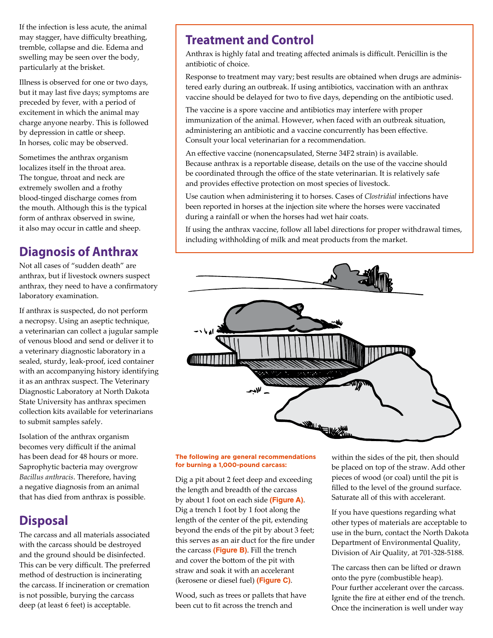If the infection is less acute, the animal may stagger, have difficulty breathing, tremble, collapse and die. Edema and swelling may be seen over the body, particularly at the brisket.

Illness is observed for one or two days, but it may last five days; symptoms are preceded by fever, with a period of excitement in which the animal may charge anyone nearby. This is followed by depression in cattle or sheep. In horses, colic may be observed.

Sometimes the anthrax organism localizes itself in the throat area. The tongue, throat and neck are extremely swollen and a frothy blood-tinged discharge comes from the mouth. Although this is the typical form of anthrax observed in swine, it also may occur in cattle and sheep.

## **Diagnosis of Anthrax**

Not all cases of "sudden death" are anthrax, but if livestock owners suspect anthrax, they need to have a confirmatory laboratory examination.

If anthrax is suspected, do not perform a necropsy. Using an aseptic technique, a veterinarian can collect a jugular sample of venous blood and send or deliver it to a veterinary diagnostic laboratory in a sealed, sturdy, leak-proof, iced container with an accompanying history identifying it as an anthrax suspect. The Veterinary Diagnostic Laboratory at North Dakota State University has anthrax specimen collection kits available for veterinarians to submit samples safely.

Isolation of the anthrax organism becomes very difficult if the animal has been dead for 48 hours or more. Saprophytic bacteria may overgrow *Bacillus anthracis*. Therefore, having a negative diagnosis from an animal that has died from anthrax is possible.

#### **Disposal**

The carcass and all materials associated with the carcass should be destroyed and the ground should be disinfected. This can be very difficult. The preferred method of destruction is incinerating the carcass. If incineration or cremation is not possible, burying the carcass deep (at least 6 feet) is acceptable.

## **Treatment and Control**

Anthrax is highly fatal and treating affected animals is difficult. Penicillin is the antibiotic of choice.

Response to treatment may vary; best results are obtained when drugs are administered early during an outbreak. If using antibiotics, vaccination with an anthrax vaccine should be delayed for two to five days, depending on the antibiotic used.

The vaccine is a spore vaccine and antibiotics may interfere with proper immunization of the animal. However, when faced with an outbreak situation, administering an antibiotic and a vaccine concurrently has been effective. Consult your local veterinarian for a recommendation.

An effective vaccine (nonencapsulated, Sterne 34F2 strain) is available. Because anthrax is a reportable disease, details on the use of the vaccine should be coordinated through the office of the state veterinarian. It is relatively safe and provides effective protection on most species of livestock.

Use caution when administering it to horses. Cases of *Clostridial* infections have been reported in horses at the injection site where the horses were vaccinated during a rainfall or when the horses had wet hair coats.

If using the anthrax vaccine, follow all label directions for proper withdrawal times, including withholding of milk and meat products from the market.



#### **The following are general recommendations for burning a 1,000-pound carcass:**

Dig a pit about 2 feet deep and exceeding the length and breadth of the carcass by about 1 foot on each side **(Figure A)**. Dig a trench 1 foot by 1 foot along the length of the center of the pit, extending beyond the ends of the pit by about 3 feet; this serves as an air duct for the fire under the carcass **(Figure B)**. Fill the trench and cover the bottom of the pit with straw and soak it with an accelerant (kerosene or diesel fuel) **(Figure C)**.

Wood, such as trees or pallets that have been cut to fit across the trench and

within the sides of the pit, then should be placed on top of the straw. Add other pieces of wood (or coal) until the pit is filled to the level of the ground surface. Saturate all of this with accelerant.

If you have questions regarding what other types of materials are acceptable to use in the burn, contact the North Dakota Department of Environmental Quality, Division of Air Quality, at 701-328-5188.

The carcass then can be lifted or drawn onto the pyre (combustible heap). Pour further accelerant over the carcass. Ignite the fire at either end of the trench. Once the incineration is well under way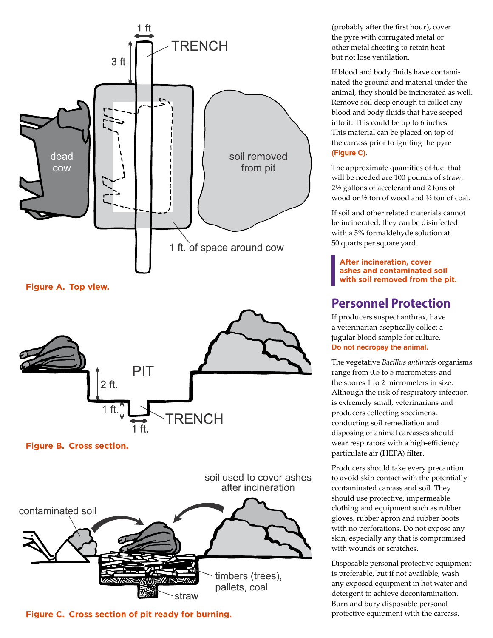

**Figure A. Top view.**



**Figure B. Cross section.**

soil used to cover ashes after incineration contaminated soil timbers (trees), pallets, coal straw

**Figure C. Cross section of pit ready for burning.**

(probably after the first hour), cover the pyre with corrugated metal or other metal sheeting to retain heat but not lose ventilation.

If blood and body fluids have contaminated the ground and material under the animal, they should be incinerated as well. Remove soil deep enough to collect any blood and body fluids that have seeped into it. This could be up to 6 inches. This material can be placed on top of the carcass prior to igniting the pyre **(Figure C)**.

The approximate quantities of fuel that will be needed are 100 pounds of straw, 2½ gallons of accelerant and 2 tons of wood or ½ ton of wood and ½ ton of coal.

If soil and other related materials cannot be incinerated, they can be disinfected with a 5% formaldehyde solution at 50 quarts per square yard.

**After incineration, cover ashes and contaminated soil with soil removed from the pit.**

## **Personnel Protection**

If producers suspect anthrax, have a veterinarian aseptically collect a jugular blood sample for culture. **Do not necropsy the animal.** 

The vegetative *Bacillus anthracis* organisms range from 0.5 to 5 micrometers and the spores 1 to 2 micrometers in size. Although the risk of respiratory infection is extremely small, veterinarians and producers collecting specimens, conducting soil remediation and disposing of animal carcasses should wear respirators with a high-efficiency particulate air (HEPA) filter.

Producers should take every precaution to avoid skin contact with the potentially contaminated carcass and soil. They should use protective, impermeable clothing and equipment such as rubber gloves, rubber apron and rubber boots with no perforations. Do not expose any skin, especially any that is compromised with wounds or scratches.

Disposable personal protective equipment is preferable, but if not available, wash any exposed equipment in hot water and detergent to achieve decontamination. Burn and bury disposable personal protective equipment with the carcass.